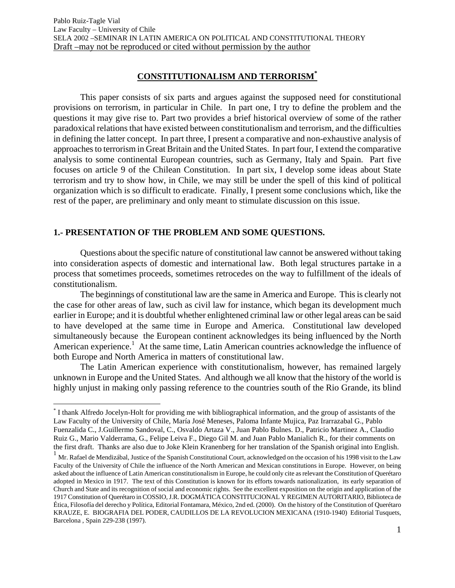# **CONSTITUTIONALISM AND TERRORISM\***

This paper consists of six parts and argues against the supposed need for constitutional provisions on terrorism, in particular in Chile. In part one, I try to define the problem and the questions it may give rise to. Part two provides a brief historical overview of some of the rather paradoxical relations that have existed between constitutionalism and terrorism, and the difficulties in defining the latter concept. In part three, I present a comparative and non-exhaustive analysis of approaches to terrorism in Great Britain and the United States. In part four, I extend the comparative analysis to some continental European countries, such as Germany, Italy and Spain. Part five focuses on article 9 of the Chilean Constitution. In part six, I develop some ideas about State terrorism and try to show how, in Chile, we may still be under the spell of this kind of political organization which is so difficult to eradicate. Finally, I present some conclusions which, like the rest of the paper, are preliminary and only meant to stimulate discussion on this issue.

## **1.- PRESENTATION OF THE PROBLEM AND SOME QUESTIONS.**

 $\overline{a}$ 

Questions about the specific nature of constitutional law cannot be answered without taking into consideration aspects of domestic and international law. Both legal structures partake in a process that sometimes proceeds, sometimes retrocedes on the way to fulfillment of the ideals of constitutionalism.

The beginnings of constitutional law are the same in America and Europe. This is clearly not the case for other areas of law, such as civil law for instance, which began its development much earlier in Europe; and it is doubtful whether enlightened criminal law or other legal areas can be said to have developed at the same time in Europe and America. Constitutional law developed simultaneously because the European continent acknowledges its being influenced by the North American experience.<sup>1</sup> At the same time, Latin American countries acknowledge the influence of both Europe and North America in matters of constitutional law.

The Latin American experience with constitutionalism, however, has remained largely unknown in Europe and the United States. And although we all know that the history of the world is highly unjust in making only passing reference to the countries south of the Rio Grande, its blind

<sup>\*</sup> I thank Alfredo Jocelyn-Holt for providing me with bibliographical information, and the group of assistants of the Law Faculty of the University of Chile, María José Meneses, Paloma Infante Mujica, Paz Irarrazabal G., Pablo Fuenzalida C., J.Guillermo Sandoval, C., Osvaldo Artaza V., Juan Pablo Bulnes. D., Patricio Martinez A., Claudio Ruiz G., Mario Valderrama, G., Felipe Leiva F., Diego Gil M. and Juan Pablo Manialich R., for their comments on the first draft. Thanks are also due to Joke Klein Kranenberg for her translation of the Spanish original into English.

 $1$  Mr. Rafael de Mendizábal, Justice of the Spanish Constitutional Court, acknowledged on the occasion of his 1998 visit to the Law Faculty of the University of Chile the influence of the North American and Mexican constitutions in Europe. However, on being asked about the influence of Latin American constitutionalism in Europe, he could only cite as relevant the Constitution of Querétaro adopted in Mexico in 1917. The text of this Constitution is known for its efforts towards nationalization, its early separation of Church and State and its recognition of social and economic rights. See the excellent exposition on the origin and application of the 1917 Constitution of Querétaro in COSSIO, J.R. DOGMÁTICA CONSTITUCIONAL Y REGIMEN AUTORITARIO, Biblioteca de Ética, Filosofía del derecho y Política, Editorial Fontamara, México, 2nd ed. (2000). On the history of the Constitution of Querétaro KRAUZE, E. BIOGRAFIA DEL PODER, CAUDILLOS DE LA REVOLUCION MEXICANA (1910-1940) Editorial Tusquets, Barcelona , Spain 229-238 (1997).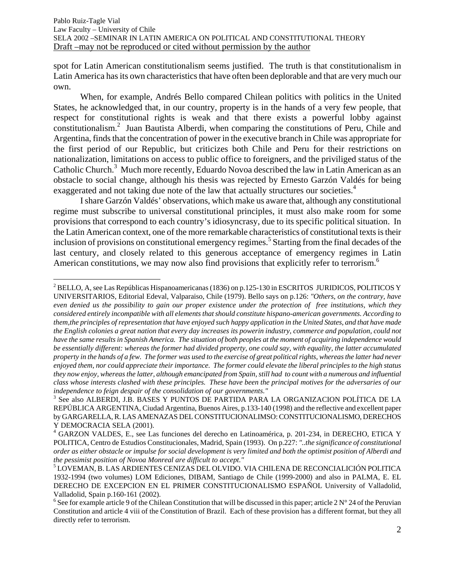spot for Latin American constitutionalism seems justified. The truth is that constitutionalism in Latin America has its own characteristics that have often been deplorable and that are very much our own.

When, for example, Andrés Bello compared Chilean politics with politics in the United States, he acknowledged that, in our country, property is in the hands of a very few people, that respect for constitutional rights is weak and that there exists a powerful lobby against constitutionalism.2 Juan Bautista Alberdi, when comparing the constitutions of Peru, Chile and Argentina, finds that the concentration of power in the executive branch in Chile was appropriate for the first period of our Republic, but criticizes both Chile and Peru for their restrictions on nationalization, limitations on access to public office to foreigners, and the priviliged status of the Catholic Church.<sup>3</sup> Much more recently, Eduardo Novoa described the law in Latin American as an obstacle to social change, although his thesis was rejected by Ernesto Garzón Valdés for being exaggerated and not taking due note of the law that actually structures our societies.<sup>4</sup>

I share Garzón Valdés' observations, which make us aware that, although any constitutional regime must subscribe to universal constitutional principles, it must also make room for some provisions that correspond to each country's idiosyncrasy, due to its specific political situation. In the Latin American context, one of the more remarkable characteristics of constitutional texts is their inclusion of provisions on constitutional emergency regimes.<sup>5</sup> Starting from the final decades of the last century, and closely related to this generous acceptance of emergency regimes in Latin American constitutions, we may now also find provisions that explicitly refer to terrorism.<sup>6</sup>

 $\overline{a}$ 

 $^2$  BELLO, A, see Las Repúblicas Hispanoamericanas (1836) on p.125-130 in ESCRITOS JURIDICOS, POLITICOS Y UNIVERSITARIOS, Editorial Edeval, Valparaiso, Chile (1979). Bello says on p.126: *"Others, on the contrary, have even denied us the possibility to gain our proper existence under the protection of free institutions, which they considered entirely incompatible with all elements that should constitute hispano-american governments. According to them,the principles of representation that have enjoyed such happy application in the United States, and that have made the English colonies a great nation that every day increases its powerin industry, commerce and population, could not have the same results in Spanish America. The situation of both peoples at the moment of acquiring independence would be essentially different: whereas the former had divided property, one could say, with equality, the latter accumulated property in the hands of a few. The former was used to the exercise of great political rights, whereas the latter had never enjoyed them, nor could appreciate their importance. The former could elevate the liberal principles to the high status they now enjoy, whereas the latter, although emancipated from Spain, still had to count with a numerous and influential class whose interests clashed with these principles. These have been the principal motives for the adversaries of our independence to feign despair of the consolidation of our governments."* 

<sup>3</sup> See also ALBERDI, J.B. BASES Y PUNTOS DE PARTIDA PARA LA ORGANIZACION POLÍTICA DE LA REPÚBLICA ARGENTINA, Ciudad Argentina, Buenos Aires, p.133-140 (1998) and the reflective and excellent paper by GARGARELLA, R. LAS AMENAZAS DEL CONSTITUCIONALIMSO: CONSTITUCIONALISMO, DERECHOS Y DEMOCRACIA SELA (2001).

<sup>4</sup> GARZON VALDES, E., see Las funciones del derecho en Latinoamérica, p. 201-234, in DERECHO, ETICA Y POLITICA, Centro de Estudios Constitucionales, Madrid, Spain (1993). On p.227: *"..the significance of constitutional order as either obstacle or impulse for social development is very limited and both the optimist position of Alberdi and the pessimist position of Novoa Monreal are difficult to accept."* 

<sup>5</sup> LOVEMAN, B. LAS ARDIENTES CENIZAS DEL OLVIDO. VIA CHILENA DE RECONCIALICIÓN POLITICA 1932-1994 (two volumes) LOM Ediciones, DIBAM, Santiago de Chile (1999-2000) and also in PALMA, E. EL DERECHO DE EXCEPCION EN EL PRIMER CONSTITUCIONALISMO ESPAÑOL University of Valladolid, Valladolid, Spain p.160-161 (2002).

<sup>&</sup>lt;sup>6</sup> See for example article 9 of the Chilean Constitution that will be discussed in this paper; article 2 N° 24 of the Peruvian Constitution and article 4 viii of the Constitution of Brazil. Each of these provision has a different format, but they all directly refer to terrorism.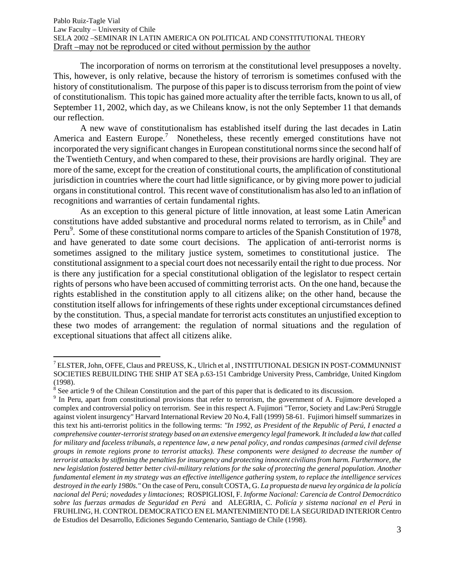The incorporation of norms on terrorism at the constitutional level presupposes a novelty. This, however, is only relative, because the history of terrorism is sometimes confused with the history of constitutionalism. The purpose of this paper is to discuss terrorism from the point of view of constitutionalism. This topic has gained more actuality after the terrible facts, known to us all, of September 11, 2002, which day, as we Chileans know, is not the only September 11 that demands our reflection.

A new wave of constitutionalism has established itself during the last decades in Latin America and Eastern Europe.<sup>7</sup> Nonetheless, these recently emerged constitutions have not incorporated the very significant changes in European constitutional norms since the second half of the Twentieth Century, and when compared to these, their provisions are hardly original. They are more of the same, except for the creation of constitutional courts, the amplification of constitutional jurisdiction in countries where the court had little significance, or by giving more power to judicial organs in constitutional control. This recent wave of constitutionalism has also led to an inflation of recognitions and warranties of certain fundamental rights.

As an exception to this general picture of little innovation, at least some Latin American constitutions have added substantive and procedural norms related to terrorism, as in Chile<sup>8</sup> and Peru<sup>9</sup>. Some of these constitutional norms compare to articles of the Spanish Constitution of 1978, and have generated to date some court decisions. The application of anti-terrorist norms is sometimes assigned to the military justice system, sometimes to constitutional justice. The constitutional assignment to a special court does not necessarily entail the right to due process. Nor is there any justification for a special constitutional obligation of the legislator to respect certain rights of persons who have been accused of committing terrorist acts. On the one hand, because the rights established in the constitution apply to all citizens alike; on the other hand, because the constitution itself allows for infringements of these rights under exceptional circumstances defined by the constitution. Thus, a special mandate for terrorist acts constitutes an unjustified exception to these two modes of arrangement: the regulation of normal situations and the regulation of exceptional situations that affect all citizens alike.

<u>.</u>

 $^7$  ELSTER, John, OFFE, Claus and PREUSS, K., Ulrich et al , INSTITUTIONAL DESIGN IN POST-COMMUNNIST SOCIETIES REBUILDING THE SHIP AT SEA p.63-151 Cambridge University Press, Cambridge, United Kingdom (1998).

<sup>&</sup>lt;sup>8</sup> See article 9 of the Chilean Constitution and the part of this paper that is dedicated to its discussion.

<sup>&</sup>lt;sup>9</sup> In Peru, apart from constitutional provisions that refer to terrorism, the government of A. Fujimore developed a complex and controversial policy on terrorism. See in this respect A. Fujimori "Terror, Society and Law:Perú Struggle against violent insurgency" Harvard International Review 20 No.4, Fall (1999) 58-61. Fujimori himself summarizes in this text his anti-terrorist politics in the following terms: *"In 1992, as President of the Republic of Perú, I enacted a comprehensive counter-terrorist strategy based on an extensive emergency legal framework. It included a law that called for military and faceless tribunals, a repentence law, a new penal policy, and rondas campesinas (armed civil defense groups in remote regions prone to terrorist attacks). These components were designed to decrease the number of terrorist attacks by stiffening the penalties for insurgency and protecting innocent civilians from harm. Furthermore, the new legislation fostered better better civil-military relations for the sake of protecting the general population. Another fundamental element in my strategy was an effective intelligence gathering system, to replace the intelligence services destroyed in the early 1980s."* On the case of Peru, consult COSTA, G. *La propuesta de nueva ley orgánica de la policía nacional del Perú; novedades y limtaciones*; ROSPIGLIOSI, F. *Informe Nacional: Carencia de Control Democrático sobre las fuerzas armadas de Seguridad en Perú* and ALEGRIA, C. *Policía y sistema nacional en el Perú* in FRUHLING, H. CONTROL DEMOCRATICO EN EL MANTENIMIENTO DE LA SEGURIDAD INTERIOR Centro de Estudios del Desarrollo, Ediciones Segundo Centenario, Santiago de Chile (1998).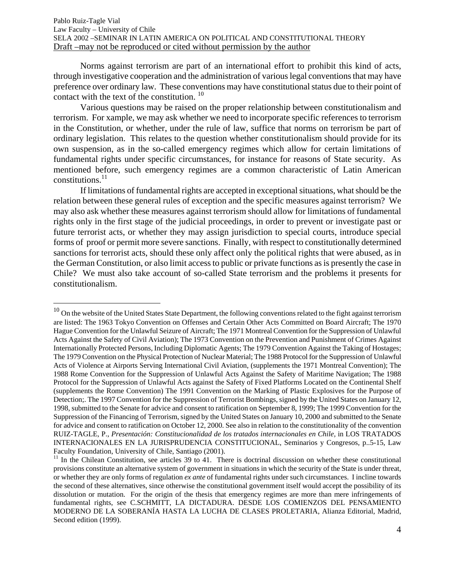Norms against terrorism are part of an international effort to prohibit this kind of acts, through investigative cooperation and the administration of various legal conventions that may have preference over ordinary law. These conventions may have constitutional status due to their point of contact with the text of the constitution.<sup>10</sup>

Various questions may be raised on the proper relationship between constitutionalism and terrorism. For xample, we may ask whether we need to incorporate specific references to terrorism in the Constitution, or whether, under the rule of law, suffice that norms on terrorism be part of ordinary legislation. This relates to the question whether constitutionalism should provide for its own suspension, as in the so-called emergency regimes which allow for certain limitations of fundamental rights under specific circumstances, for instance for reasons of State security. As mentioned before, such emergency regimes are a common characteristic of Latin American constitutions. $^{11}$ 

If limitations of fundamental rights are accepted in exceptional situations, what should be the relation between these general rules of exception and the specific measures against terrorism? We may also ask whether these measures against terrorism should allow for limitations of fundamental rights only in the first stage of the judicial proceedings, in order to prevent or investigate past or future terrorist acts, or whether they may assign jurisdiction to special courts, introduce special forms of proof or permit more severe sanctions. Finally, with respect to constitutionally determined sanctions for terrorist acts, should these only affect only the political rights that were abused, as in the German Constitution, or also limit access to public or private functions as is presently the case in Chile? We must also take account of so-called State terrorism and the problems it presents for constitutionalism.

1

 $10$  On the website of the United States State Department, the following conventions related to the fight against terrorism are listed: The 1963 Tokyo Convention on Offenses and Certain Other Acts Committed on Board Aircraft; The 1970 Hague Convention for the Unlawful Seizure of Aircraft; The 1971 Montreal Convention for the Suppression of Unlawful Acts Against the Safety of Civil Aviation); The 1973 Convention on the Prevention and Punishment of Crimes Against Internationally Protected Persons, Including Diplomatic Agents; The 1979 Convention Against the Taking of Hostages; The 1979 Convention on the Physical Protection of Nuclear Material; The 1988 Protocol for the Suppression of Unlawful Acts of Violence at Airports Serving International Civil Aviation, (supplements the 1971 Montreal Convention); The 1988 Rome Convention for the Suppression of Unlawful Acts Against the Safety of Maritime Navigation; The 1988 Protocol for the Suppression of Unlawful Acts against the Safety of Fixed Platforms Located on the Continental Shelf (supplements the Rome Convention) The 1991 Convention on the Marking of Plastic Explosives for the Purpose of Detection;. The 1997 Convention for the Suppression of Terrorist Bombings, signed by the United States on January 12, 1998, submitted to the Senate for advice and consent to ratification on September 8, 1999; The 1999 Convention for the Suppression of the Financing of Terrorism, signed by the United States on January 10, 2000 and submitted to the Senate for advice and consent to ratification on October 12, 2000. See also in relation to the constitutionality of the convention RUIZ-TAGLE, P., *Presentación: Constitucionalidad de los tratados internacionales en Chile*, in LOS TRATADOS INTERNACIONALES EN LA JURISPRUDENCIA CONSTITUCIONAL, Seminarios y Congresos, p..5-15, Law Faculty Foundation, University of Chile, Santiago (2001).

 $11$  In the Chilean Constitution, see articles 39 to 41. There is doctrinal discussion on whether these constitutional provisions constitute an alternative system of government in situations in which the security of the State is under threat, or whether they are only forms of regulation *ex ante* of fundamental rights under such circumstances. I incline towards the second of these alternatives, since otherwise the constitutional government itself would accept the possibility of its dissolution or mutation. For the origin of the thesis that emergency regimes are more than mere infringements of fundamental rights, see C.SCHMITT, LA DICTADURA. DESDE LOS COMIENZOS DEL PENSAMIENTO MODERNO DE LA SOBERANÍA HASTA LA LUCHA DE CLASES PROLETARIA, Alianza Editorial, Madrid, Second edition (1999).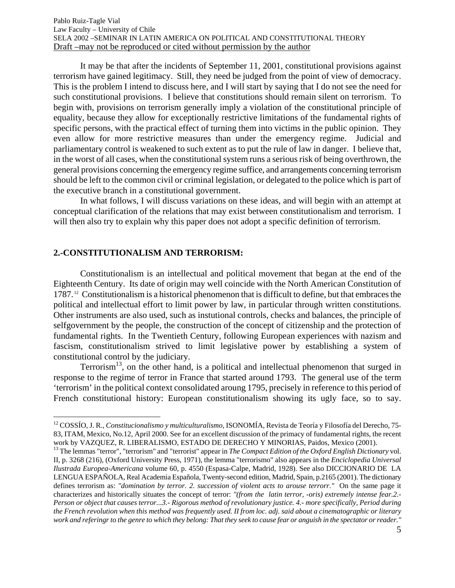It may be that after the incidents of September 11, 2001, constitutional provisions against terrorism have gained legitimacy. Still, they need be judged from the point of view of democracy. This is the problem I intend to discuss here, and I will start by saying that I do not see the need for such constitutional provisions. I believe that constitutions should remain silent on terrorism. To begin with, provisions on terrorism generally imply a violation of the constitutional principle of equality, because they allow for exceptionally restrictive limitations of the fundamental rights of specific persons, with the practical effect of turning them into victims in the public opinion. They even allow for more restrictive measures than under the emergency regime. Judicial and parliamentary control is weakened to such extent as to put the rule of law in danger. I believe that, in the worst of all cases, when the constitutional system runs a serious risk of being overthrown, the general provisions concerning the emergency regime suffice, and arrangements concerning terrorism should be left to the common civil or criminal legislation, or delegated to the police which is part of the executive branch in a constitutional government.

In what follows, I will discuss variations on these ideas, and will begin with an attempt at conceptual clarification of the relations that may exist between constitutionalism and terrorism. I will then also try to explain why this paper does not adopt a specific definition of terrorism.

### **2.-CONSTITUTIONALISM AND TERRORISM:**

<u>.</u>

Constitutionalism is an intellectual and political movement that began at the end of the Eighteenth Century. Its date of origin may well coincide with the North American Constitution of 1787. 12 Constitutionalism is a historical phenomenon that is difficult to define, but that embraces the political and intellectual effort to limit power by law, in particular through written constitutions. Other instruments are also used, such as instutional controls, checks and balances, the principle of selfgovernment by the people, the construction of the concept of citizenship and the protection of fundamental rights. In the Twentieth Century, following European experiences with nazism and fascism, constitutionalism strived to limit legislative power by establishing a system of constitutional control by the judiciary.

Terrorism<sup>13</sup>, on the other hand, is a political and intellectual phenomenon that surged in response to the regime of terror in France that started around 1793. The general use of the term 'terrorism' in the political context consolidated aroung 1795, precisely in reference to this period of French constitutional history: European constitutionalism showing its ugly face, so to say.

<sup>12</sup> COSSÍO, J. R., *Constitucionalismo y multiculturalismo,* ISONOMÍA, Revista de Teoría y Filosofía del Derecho, 75- 83, ITAM, Mexico, No.12, April 2000. See for an excellent discussion of the primacy of fundamental rights, the recent work by VAZQUEZ, R. LIBERALISMO, ESTADO DE DERECHO Y MINORIAS, Paidos, Mexico (2001).<br><sup>13</sup> The lemmas "terror", "terrorism" and "terrorist" appear in *The Compact Edition of the Oxford English Dictionary* vol.

II, p. 3268 (216), (Oxford University Press, 1971), the lemma "terrorismo" also appears in the *Enciclopedia Universal Ilustrada Europea-Americana* volume 60, p. 4550 (Espasa-Calpe, Madrid, 1928). See also DICCIONARIO DE LA LENGUA ESPAÑOLA, Real Academia Española, Twenty-second edition, Madrid, Spain, p.2165 (2001). The dictionary defines terrorism as: *"domination by terror. 2. succession of violent acts to arouse terrorr."* On the same page it characterizes and historically situates the concept of terror: *"(from the latin terror, -oris) extremely intense fear.2.- Person or object that causes terror...3.- Rigorous method of revolutionary justice. 4.- more specifically, Period during the French revolution when this method was frequently used. II from loc. adj. said about a cinematographic or literary work and referingr to the genre to which they belong: That they seek to cause fear or anguish in the spectator or reader."*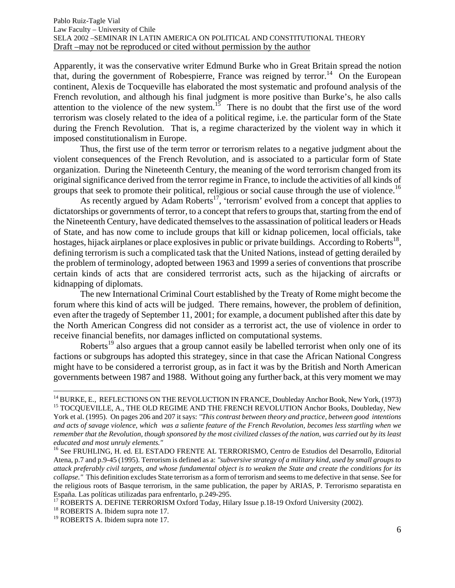Apparently, it was the conservative writer Edmund Burke who in Great Britain spread the notion that, during the government of Robespierre, France was reigned by terror.<sup>14</sup> On the European continent, Alexis de Tocqueville has elaborated the most systematic and profound analysis of the French revolution, and although his final judgment is more positive than Burke's, he also calls attention to the violence of the new system.<sup>15</sup> There is no doubt that the first use of the word terrorism was closely related to the idea of a political regime, i.e. the particular form of the State during the French Revolution. That is, a regime characterized by the violent way in which it imposed constitutionalism in Europe.

Thus, the first use of the term terror or terrorism relates to a negative judgment about the violent consequences of the French Revolution, and is associated to a particular form of State organization. During the Nineteenth Century, the meaning of the word terrorism changed from its original significance derived from the terror regime in France, to include the activities of all kinds of groups that seek to promote their political, religious or social cause through the use of violence.<sup>16</sup>

As recently argued by Adam Roberts<sup>17</sup>, 'terrorism' evolved from a concept that applies to dictatorships or governments of terror, to a concept that refers to groups that, starting from the end of the Nineteenth Century, have dedicated themselves to the assassination of political leaders or Heads of State, and has now come to include groups that kill or kidnap policemen, local officials, take hostages, hijack airplanes or place explosives in public or private buildings. According to Roberts<sup>18</sup>, defining terrorism is such a complicated task that the United Nations, instead of getting derailed by the problem of terminology, adopted between 1963 and 1999 a series of conventions that proscribe certain kinds of acts that are considered terrrorist acts, such as the hijacking of aircrafts or kidnapping of diplomats.

The new International Criminal Court established by the Treaty of Rome might become the forum where this kind of acts will be judged. There remains, however, the problem of definition, even after the tragedy of September 11, 2001; for example, a document published after this date by the North American Congress did not consider as a terrorist act, the use of violence in order to receive financial benefits, nor damages inflicted on computational systems.

Roberts<sup>19</sup> also argues that a group cannot easily be labelled terrorist when only one of its factions or subgroups has adopted this strategey, since in that case the African National Congress might have to be considered a terrorist group, as in fact it was by the British and North American governments between 1987 and 1988. Without going any further back, at this very moment we may

 $\overline{a}$ 

<sup>&</sup>lt;sup>14</sup> BURKE, E., REFLECTIONS ON THE REVOLUCTION IN FRANCE, Doubleday Anchor Book, New York, (1973) <sup>15</sup> TOCQUEVILLE, A., THE OLD REGIME AND THE FRENCH REVOLUTION Anchor Books, Doubleday, New York et al. (1995). On pages 206 and 207 it says: *"This contrast between theory and practice, between good intentions and acts of savage violence, which was a saliente feature of the French Revolution, becomes less startling when we remember that the Revolution, though sponsored by the most civilized classes of the nation, was carried out by its least educated and most unruly elements."* 

<sup>&</sup>lt;sup>16</sup> See FRUHLING, H. ed. EL ESTADO FRENTE AL TERRORISMO, Centro de Estudios del Desarrollo, Editorial Atena, p.7 and p.9-45 (1995). Terrorism is defined as a: *"subversive strategy of a military kind, used by small groups to attack preferably civil targets, and whose fundamental object is to weaken the State and create the conditions for its collapse."* This definition excludes State terrorism as a form of terrorism and seems to me defective in that sense. See for the religious roots of Basque terrorism, in the same publication, the paper by ARIAS, P. Terrorismo separatista en España. Las políticas utilizadas para enfrentarlo, p.249-295.

<sup>&</sup>lt;sup>17</sup> ROBERTS A. DEFINE TERRORISM Oxford Today, Hilary Issue p.18-19 Oxford University (2002). <sup>18</sup> ROBERTS A. Ibidem supra note 17.

<sup>&</sup>lt;sup>19</sup> ROBERTS A. Ibidem supra note 17.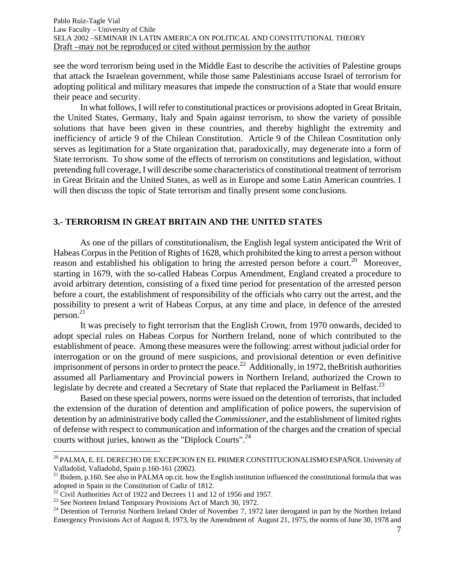see the word terrorism being used in the Middle East to describe the activities of Palestine groups that attack the Israelean government, while those same Palestinians accuse Israel of terrorism for adopting political and military measures that impede the construction of a State that would ensure their peace and security.

In what follows, I will refer to constitutional practices or provisions adopted in Great Britain, the United States, Germany, Italy and Spain against terrorism, to show the variety of possible solutions that have been given in these countries, and thereby highlight the extremity and inefficiency of article 9 of the Chilean Constitution. Article 9 of the Chilean Cosntitution only serves as legitimation for a State organization that, paradoxically, may degenerate into a form of State terrorism. To show some of the effects of terrorism on constitutions and legislation, without pretending full coverage, I will describe some characteristics of constitutional treatment of terrorism in Great Britain and the United States, as well as in Europe and some Latin American countries. I will then discuss the topic of State terrorism and finally present some conclusions.

## **3.- TERRORISM IN GREAT BRITAIN AND THE UNITED STATES**

 As one of the pillars of constitutionalism, the English legal system anticipated the Writ of Habeas Corpus in the Petition of Rights of 1628, which prohibited the king to arrest a person without reason and established his obligation to bring the arrested person before a court.<sup>20</sup> Moreover, starting in 1679, with the so-called Habeas Corpus Amendment, England created a procedure to avoid arbitrary detention, consisting of a fixed time period for presentation of the arrested person before a court, the establishment of responsibility of the officials who carry out the arrest, and the possibility to present a writ of Habeas Corpus, at any time and place, in defence of the arrested  $person.<sup>21</sup>$ 

It was precisely to fight terrorism that the English Crown, from 1970 onwards, decided to adopt special rules on Habeas Corpus for Northern Ireland, none of which contributed to the establishment of peace. Among these measures were the following: arrest without judicial order for interrogation or on the ground of mere suspicions, and provisional detention or even definitive imprisonment of persons in order to protect the peace.<sup>22</sup> Additionally, in 1972, the British authorities assumed all Parliamentary and Provincial powers in Northern Ireland, authorized the Crown to legislate by decrete and created a Secretary of State that replaced the Parliament in Belfast.<sup>23</sup>

Based on these special powers, norms were issued on the detention of terrorists, that included the extension of the duration of detention and amplification of police powers, the supervision of detention by an administrative body called the *Commissioner,* and the establishment of limited rights of defense with respect to communication and information of the charges and the creation of special courts without juries, known as the "Diplock Courts".<sup>24</sup>

 $\overline{a}$ 

<sup>&</sup>lt;sup>20</sup> PALMA, E. EL DERECHO DE EXCEPCION EN EL PRIMER CONSTITUCIONALISMO ESPAÑOL University of Valladolid, Valladolid, Spain p.160-161 (2002).

<sup>&</sup>lt;sup>21</sup> Ibidem, p.160. See also in PALMA op.cit. how the English institution influenced the constitutional formula that was adopted in Spain in the Constitution of Cadiz of 1812.

 $^{22}$  Civil Authorities Act of 1922 and Decrees 11 and 12 of 1956 and 1957.

<sup>&</sup>lt;sup>23</sup> See Norteen Ireland Temporary Provisions Act of March 30, 1972.

<sup>&</sup>lt;sup>24</sup> Detention of Terrorist Northern Ireland Order of November 7, 1972 later derogated in part by the Northen Ireland Emergency Provisions Act of August 8, 1973, by the Amendment of August 21, 1975, the norms of June 30, 1978 and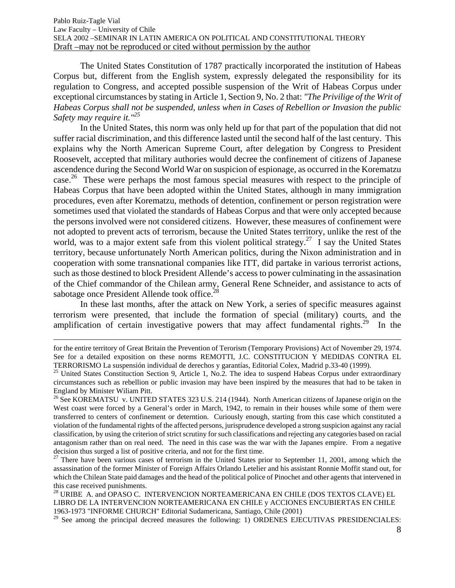The United States Constitution of 1787 practically incorporated the institution of Habeas Corpus but, different from the English system, expressly delegated the responsibility for its regulation to Congress, and accepted possible suspension of the Writ of Habeas Corpus under exceptional circumstances by stating in Article 1, Section 9, No. 2 that: *"The Privilige of the Writ of Habeas Corpus shall not be suspended, unless when in Cases of Rebellion or Invasion the public Safety may require it."25*

In the United States, this norm was only held up for that part of the population that did not suffer racial discrimination, and this difference lasted until the second half of the last century. This explains why the North American Supreme Court, after delegation by Congress to President Roosevelt, accepted that military authories would decree the confinement of citizens of Japanese ascendence during the Second World War on suspicion of espionage, as occurred in the Korematzu case.<sup>26</sup> These were perhaps the most famous special measures with respect to the principle of Habeas Corpus that have been adopted within the United States, although in many immigration procedures, even after Korematzu, methods of detention, confinement or person registration were sometimes used that violated the standards of Habeas Corpus and that were only accepted because the persons involved were not considered citizens. However, these measures of confinement were not adopted to prevent acts of terrorism, because the United States territory, unlike the rest of the world, was to a major extent safe from this violent political strategy.<sup>27</sup> I say the United States territory, because unfortunately North American politics, during the Nixon administration and in cooperation with some transnational companies like ITT, did partake in various terrorist actions, such as those destined to block President Allende's access to power culminating in the assasination of the Chief commandor of the Chilean army, General Rene Schneider, and assistance to acts of sabotage once President Allende took office.<sup>28</sup>

In these last months, after the attack on New York, a series of specific measures against terrorism were presented, that include the formation of special (military) courts, and the amplification of certain investigative powers that may affect fundamental rights.<sup>29</sup> In the

1

for the entire territory of Great Britain the Prevention of Terorism (Temporary Provisions) Act of November 29, 1974. See for a detailed exposition on these norms REMOTTI, J.C. CONSTITUCION Y MEDIDAS CONTRA EL

TERRORISMO La suspensión individual de derechos y garantías, Editorial Colex, Madrid p.33-40 (1999). 25 United States Constituction Section 9, Article 1, No.2. The idea to suspend Habeas Corpus under extraordinary circumstances such as rebellion or public invasion may have been inspired by the measures that had to be taken in England by Minister Wiliam Pitt.

<sup>&</sup>lt;sup>26</sup> See KOREMATSU v. UNITED STATES 323 U.S. 214 (1944). North American citizens of Japanese origin on the West coast were forced by a General's order in March, 1942, to remain in their houses while some of them were transferred to centers of confinement or deterntion. Curiously enough, starting from this case which constituted a violation of the fundamental rights of the affected persons, jurisprudence developed a strong suspicion against any racial classification, by using the criterion of strict scrutiny for such classifications and rejecting any categories based on racial antagonism rather than on real need. The need in this case was the war with the Japanes empire. From a negative decision thus surged a list of positive criteria, and not for the first time.

 $27$  There have been various cases of terrorism in the United States prior to September 11, 2001, among which the assassination of the former Minister of Foreign Affairs Orlando Letelier and his assistant Ronnie Moffit stand out, for which the Chilean State paid damages and the head of the political police of Pinochet and other agents that intervened in this case received punishments.

<sup>&</sup>lt;sup>28</sup> URIBE A. and OPASO C. INTERVENCION NORTEAMERICANA EN CHILE (DOS TEXTOS CLAVE) EL LIBRO DE LA INTERVENCION NORTEAMERICANA EN CHILE y ACCIONES ENCUBIERTAS EN CHILE 1963-1973 "INFORME CHURCH" Editorial Sudamericana, Santiago, Chile (2001)

 $29$  See among the principal decreed measures the following: 1) ORDENES EJECUTIVAS PRESIDENCIALES: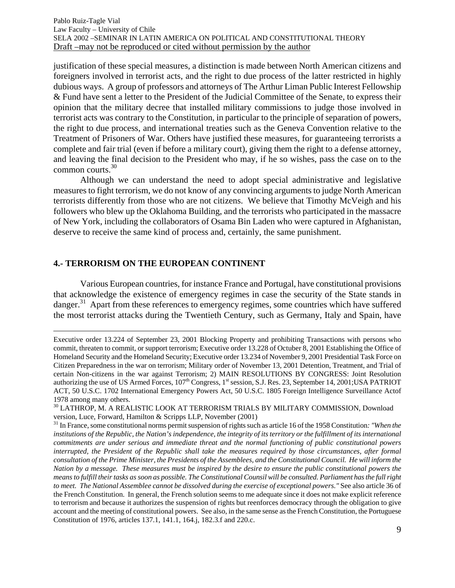justification of these special measures, a distinction is made between North American citizens and foreigners involved in terrorist acts, and the right to due process of the latter restricted in highly dubious ways. A group of professors and attorneys of The Arthur Liman Public Interest Fellowship & Fund have sent a letter to the President of the Judicial Committee of the Senate, to express their opinion that the military decree that installed military commissions to judge those involved in terrorist acts was contrary to the Constitution, in particular to the principle of separation of powers, the right to due process, and international treaties such as the Geneva Convention relative to the Treatment of Prisoners of War. Others have justified these measures, for guaranteeing terrorists a complete and fair trial (even if before a military court), giving them the right to a defense attorney, and leaving the final decision to the President who may, if he so wishes, pass the case on to the common courts.<sup>30</sup>

Although we can understand the need to adopt special administrative and legislative measures to fight terrorism, we do not know of any convincing arguments to judge North American terrorists differently from those who are not citizens. We believe that Timothy McVeigh and his followers who blew up the Oklahoma Building, and the terrorists who participated in the massacre of New York, including the collaborators of Osama Bin Laden who were captured in Afghanistan, deserve to receive the same kind of process and, certainly, the same punishment.

#### **4.- TERRORISM ON THE EUROPEAN CONTINENT**

1

 Various European countries, for instance France and Portugal, have constitutional provisions that acknowledge the existence of emergency regimes in case the security of the State stands in danger.<sup>31</sup> Apart from these references to emergency regimes, some countries which have suffered the most terrorist attacks during the Twentieth Century, such as Germany, Italy and Spain, have

Executive order 13.224 of September 23, 2001 Blocking Property and prohibiting Transactions with persons who commit, threaten to commit, or support terrorism; Executive order 13.228 of Octuber 8, 2001 Establishing the Office of Homeland Security and the Homeland Security; Executive order 13.234 of November 9, 2001 Presidential Task Force on Citizen Preparedness in the war on terrorism; Military order of November 13, 2001 Detention, Treatment, and Trial of certain Non-citizens in the war against Terrorism; 2) MAIN RESOLUTIONS BY CONGRESS: Joint Resolution authorizing the use of US Armed Forces,  $107<sup>th</sup>$  Congress,  $1<sup>st</sup>$  session, S.J. Res. 23, September 14, 2001;USA PATRIOT ACT, 50 U.S.C. 1702 International Emergency Powers Act, 50 U.S.C. 1805 Foreign Intelligence Surveillance Actof 1978 among many others.

<sup>&</sup>lt;sup>30</sup> LATHROP, M. A REALISTIC LOOK AT TERRORISM TRIALS BY MILITARY COMMISSION, Download version, Luce, Forward, Hamilton & Scripps LLP, November (2001)

<sup>31</sup> In France, some constitutional norms permit suspension of rights such as article 16 of the 1958 Constitution*: "When the institutions of the Republic, the Nation's independence, the integrity of its territory or the fulfillment of its international commitments are under serious and immediate threat and the normal functioning of public constitutional powers interrupted, the President of the Republic shall take the measures required by those circumstances, after formal consultation of the Prime Minister, the Presidents of the Assemblees, and the Constitutional Council. He will inform the Nation by a message. These measures must be inspired by the desire to ensure the public constitutional powers the means to fulfill their tasks as soon as possible. The Constitutional Counsil will be consulted. Parliament has the full right to meet. The National Assemblee cannot be dissolved during the exercise of exceptional powers."* See also article 36 of the French Constitution. In general, the French solution seems to me adequate since it does not make explicit reference to terrorism and because it authorizes the suspension of rights but reenforces democracy through the obligation to give account and the meeting of constitutional powers. See also, in the same sense as the French Constitution, the Portuguese Constitution of 1976, articles 137.1, 141.1, 164.j, 182.3.f and 220.c.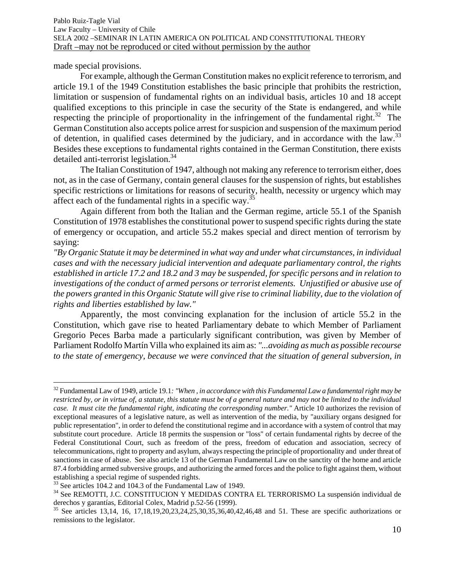made special provisions.

 $\overline{a}$ 

For example, although the German Constitution makes no explicit reference to terrorism, and article 19.1 of the 1949 Constitution establishes the basic principle that prohibits the restriction, limitation or suspension of fundamental rights on an individual basis, articles 10 and 18 accept qualified exceptions to this principle in case the security of the State is endangered, and while respecting the principle of proportionality in the infringement of the fundamental right.<sup>32</sup> The German Constitution also accepts police arrest for suspicion and suspension of the maximum period of detention, in qualified cases determined by the judiciary, and in accordance with the law.<sup>33</sup> Besides these exceptions to fundamental rights contained in the German Constitution, there exists detailed anti-terrorist legislation.<sup>34</sup>

 The Italian Constitution of 1947, although not making any reference to terrorism either, does not, as in the case of Germany, contain general clauses for the suspension of rights, but establishes specific restrictions or limitations for reasons of security, health, necessity or urgency which may affect each of the fundamental rights in a specific way.<sup>35</sup>

Again different from both the Italian and the German regime, article 55.1 of the Spanish Constitution of 1978 establishes the constitutional power to suspend specific rights during the state of emergency or occupation, and article 55.2 makes special and direct mention of terrorism by saying:

*"By Organic Statute it may be determined in what way and under what circumstances, in individual cases and with the necessary judicial intervention and adequate parliamentary control, the rights established in article 17.2 and 18.2 and 3 may be suspended, for specific persons and in relation to investigations of the conduct of armed persons or terrorist elements. Unjustified or abusive use of the powers granted in this Organic Statute will give rise to criminal liability, due to the violation of rights and liberties established by law."*

 Apparently, the most convincing explanation for the inclusion of article 55.2 in the Constitution, which gave rise to heated Parliamentary debate to which Member of Parliament Gregorio Peces Barba made a particularly significant contribution, was given by Member of Parliament Rodolfo Martín Villa who explained its aim as: *"...avoiding as much as possible recourse to the state of emergency, because we were convinced that the situation of general subversion, in* 

<sup>32</sup> Fundamental Law of 1949, article 19.1*: "When , in accordance with this Fundamental Law a fundamental right may be restricted by, or in virtue of, a statute, this statute must be of a general nature and may not be limited to the individual case. It must cite the fundamental right, indicating the corresponding number."* Article 10 authorizes the revision of exceptional measures of a legislative nature, as well as intervention of the media, by "auxiliary organs designed for public representation", in order to defend the constitutional regime and in accordance with a system of control that may substitute court procedure. Article 18 permits the suspension or "loss" of certain fundamental rights by decree of the Federal Constitutional Court, such as freedom of the press, freedom of education and association, secrecy of telecommunications, right to property and asylum, always respecting the principle of proportionality and under threat of sanctions in case of abuse. See also article 13 of the German Fundamental Law on the sanctity of the home and article 87.4 forbidding armed subversive groups, and authorizing the armed forces and the police to fight against them, without establishing a special regime of suspended rights.

<sup>&</sup>lt;sup>33</sup> See articles 104.2 and 104.3 of the Fundamental Law of 1949.

<sup>34</sup> See REMOTTI, J.C. CONSTITUCION Y MEDIDAS CONTRA EL TERRORISMO La suspensión individual de derechos y garantías, Editorial Colex, Madrid p.52-56 (1999).

 $35$  See articles 13,14, 16, 17,18,19,20,23,24,25,30,35,36,40,42,46,48 and 51. These are specific authorizations or remissions to the legislator.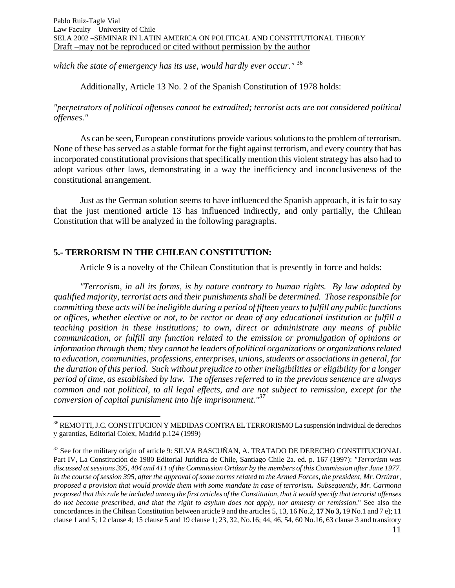*which the state of emergency has its use, would hardly ever occur."* <sup>36</sup>

Additionally, Article 13 No. 2 of the Spanish Constitution of 1978 holds:

*"perpetrators of political offenses cannot be extradited; terrorist acts are not considered political offenses."* 

 As can be seen, European constitutions provide various solutions to the problem of terrorism. None of these has served as a stable format for the fight against terrorism, and every country that has incorporated constitutional provisions that specifically mention this violent strategy has also had to adopt various other laws, demonstrating in a way the inefficiency and inconclusiveness of the constitutional arrangement.

Just as the German solution seems to have influenced the Spanish approach, it is fair to say that the just mentioned article 13 has influenced indirectly, and only partially, the Chilean Constitution that will be analyzed in the following paragraphs.

## **5.- TERRORISM IN THE CHILEAN CONSTITUTION:**

 $\overline{a}$ 

Article 9 is a novelty of the Chilean Constitution that is presently in force and holds:

*"Terrorism, in all its forms, is by nature contrary to human rights. By law adopted by qualified majority, terrorist acts and their punishments shall be determined. Those responsible for committing these acts will be ineligible during a period of fifteen years to fulfill any public functions or offices, whether elective or not, to be rector or dean of any educational institution or fulfill a teaching position in these institutions; to own, direct or administrate any means of public communication, or fulfill any function related to the emission or promulgation of opinions or information through them; they cannot be leaders of political organizations or organizations related to education, communities, professions, enterprises, unions, students or associations in general, for the duration of this period. Such without prejudice to other ineligibilities or eligibility for a longer period of time, as established by law. The offenses referred to in the previous sentence are always common and not political, to all legal effects, and are not subject to remission, except for the conversion of capital punishment into life imprisonment."<sup>37</sup>*

<sup>&</sup>lt;sup>36</sup> REMOTTI, J.C. CONSTITUCION Y MEDIDAS CONTRA EL TERRORISMO La suspensión individual de derechos y garantías, Editorial Colex, Madrid p.124 (1999)

<sup>&</sup>lt;sup>37</sup> See for the military origin of article 9: SILVA BASCUÑAN, A. TRATADO DE DERECHO CONSTITUCIONAL Part IV, La Constitución de 1980 Editorial Jurídica de Chile, Santiago Chile 2a. ed. p. 167 (1997): *"Terrorism was discussed at sessions 395, 404 and 411 of the Commission Ortúzar by the members of this Commission after June 1977. In the course of session 395, after the approval of some norms related to the Armed Forces, the president, Mr. Ortúzar, proposed a provision that would provide them with some mandate in case of terrorism. Subsequently, Mr. Carmona proposed that this rule be included among the first articles of the Constitution, that it would specify that terrorist offenses do not become prescribed, and that the right to asylum does not apply, nor amnesty or remission*." See also the concordances in the Chilean Constitution between article 9 and the articles 5, 13, 16 No.2, **17 No 3,** 19 No.1 and 7 e); 11 clause 1 and 5; 12 clause 4; 15 clause 5 and 19 clause 1; 23, 32, No.16; 44, 46, 54, 60 No.16, 63 clause 3 and transitory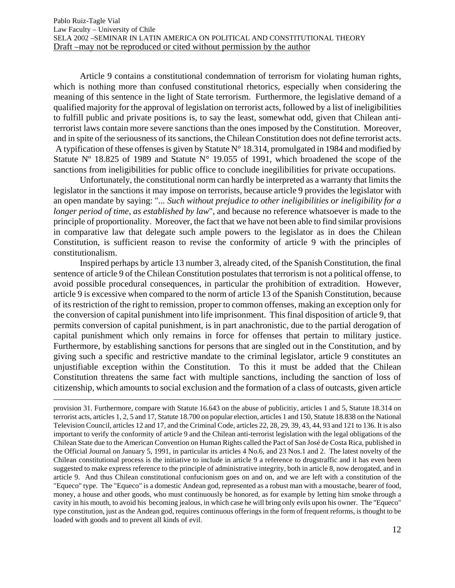Article 9 contains a constitutional condemnation of terrorism for violating human rights, which is nothing more than confused constitutional rhetorics, especially when considering the meaning of this sentence in the light of State terrorism. Furthermore, the legislative demand of a qualified majority for the approval of legislation on terrorist acts, followed by a list of ineligibilities to fulfill public and private positions is, to say the least, somewhat odd, given that Chilean antiterrorist laws contain more severe sanctions than the ones imposed by the Constitution. Moreover, and in spite of the seriousness of its sanctions, the Chilean Constitution does not define terrorist acts. A typification of these offenses is given by Statute N° 18.314, promulgated in 1984 and modified by Statute  $N^{\circ}$  18.825 of 1989 and Statute  $N^{\circ}$  19.055 of 1991, which broadened the scope of the sanctions from ineligibilities for public office to conclude inegilibilities for private occupations.

Unfortunately, the constitutional norm can hardly be interpreted as a warranty that limits the legislator in the sanctions it may impose on terrorists, because article 9 provides the legislator with an open mandate by saying: "*... Such without prejudice to other ineligibilities or ineligibility for a longer period of time, as established by law*", and because no reference whatsoever is made to the principle of proportionality. Moreover, the fact that we have not been able to find similar provisions in comparative law that delegate such ample powers to the legislator as in does the Chilean Constitution, is sufficient reason to revise the conformity of article 9 with the principles of constitutionalism.

Inspired perhaps by article 13 number 3, already cited, of the Spanish Constitution, the final sentence of article 9 of the Chilean Constitution postulates that terrorism is not a political offense, to avoid possible procedural consequences, in particular the prohibition of extradition. However, article 9 is excessive when compared to the norm of article 13 of the Spanish Constitution, because of its restriction of the right to remission, proper to common offenses, making an exception only for the conversion of capital punishment into life imprisonment. This final disposition of article 9, that permits conversion of capital punishment, is in part anachronistic, due to the partial derogation of capital punishment which only remains in force for offenses that pertain to military justice. Furthermore, by establishing sanctions for persons that are singled out in the Constitution, and by giving such a specific and restrictive mandate to the criminal legislator, article 9 constitutes an unjustifiable exception within the Constitution. To this it must be added that the Chilean Constitution threatens the same fact with multiple sanctions, including the sanction of loss of citizenship, which amounts to social exclusion and the formation of a class of outcasts, given article

 provision 31. Furthermore, compare with Statute 16.643 on the abuse of publicitiy, articles 1 and 5, Statute 18.314 on terrorist acts, articles 1, 2, 5 and 17, Statute 18.700 on popular election, articles 1 and 150, Statute 18.838 on the National Television Council, articles 12 and 17, and the Criminal Code, articles 22, 28, 29, 39, 43, 44, 93 and 121 to 136. It is also important to verify the conformity of article 9 and the Chilean anti-terrorist legislation with the legal obligations of the Chilean State due to the American Convention on Human Rights called the Pact of San José de Costa Rica, published in the Official Journal on January 5, 1991, in particular its articles 4 No.6, and 23 Nos.1 and 2. The latest novelty of the Chilean constitutional process is the initiative to include in article 9 a reference to drugstraffic and it has even been suggested to make express reference to the principle of administrative integrity, both in article 8, now derogated, and in article 9. And thus Chilean constitutional confucionism goes on and on, and we are left with a constitution of the "Equeco" type. The "Equeco" is a domestic Andean god, represented as a robust man with a moustache, bearer of food, money, a house and other goods, who must continuously be honored, as for example by letting him smoke through a cavity in his mouth, to avoid his becoming jealous, in which case he will bring only evils upon his owner. The "Equeco" type constitution, just as the Andean god, requires continuous offerings in the form of frequent reforms, is thought to be loaded with goods and to prevent all kinds of evil.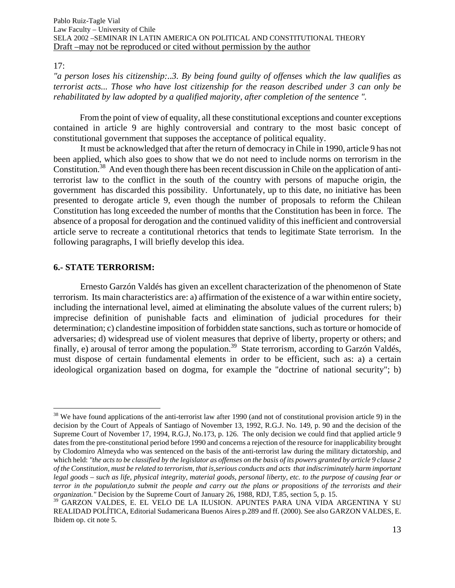17:

 $\overline{a}$ 

*"a person loses his citizenship:..3. By being found guilty of offenses which the law qualifies as terrorist acts... Those who have lost citizenship for the reason described under 3 can only be rehabilitated by law adopted by a qualified majority, after completion of the sentence ".* 

From the point of view of equality, all these constitutional exceptions and counter exceptions contained in article 9 are highly controversial and contrary to the most basic concept of constitutional government that supposes the acceptance of political equality.

It must be acknowledged that after the return of democracy in Chile in 1990, article 9 has not been applied, which also goes to show that we do not need to include norms on terrorism in the Constitution.38 And even though there has been recent discussion in Chile on the application of antiterrorist law to the conflict in the south of the country with persons of mapuche origin, the government has discarded this possibility. Unfortunately, up to this date, no initiative has been presented to derogate article 9, even though the number of proposals to reform the Chilean Constitution has long exceeded the number of months that the Constitution has been in force. The absence of a proposal for derogation and the continued validity of this inefficient and controversial article serve to recreate a contitutional rhetorics that tends to legitimate State terrorism. In the following paragraphs, I will briefly develop this idea.

## **6.- STATE TERRORISM:**

Ernesto Garzón Valdés has given an excellent characterization of the phenomenon of State terrorism. Its main characteristics are: a) affirmation of the existence of a war within entire society, including the international level, aimed at eliminating the absolute values of the current rulers; b) imprecise definition of punishable facts and elimination of judicial procedures for their determination; c) clandestine imposition of forbidden state sanctions, such as torture or homocide of adversaries; d) widespread use of violent measures that deprive of liberty, property or others; and finally, e) arousal of terror among the population.<sup>39</sup> State terrorism, according to Garzón Valdés, must dispose of certain fundamental elements in order to be efficient, such as: a) a certain ideological organization based on dogma, for example the "doctrine of national security"; b)

 $38$  We have found applications of the anti-terrorist law after 1990 (and not of constitutional provision article 9) in the decision by the Court of Appeals of Santiago of November 13, 1992, R.G.J. No. 149, p. 90 and the decision of the Supreme Court of November 17, 1994, R.G.J, No.173, p. 126. The only decision we could find that applied article 9 dates from the pre-constitutional period before 1990 and concerns a rejection of the resource for inapplicability brought by Clodomiro Almeyda who was sentenced on the basis of the anti-terrorist law during the military dictatorship, and which held: *"the acts to be classified by the legislator as offenses on the basis of its powers granted by article 9 clause 2 of the Constitution, must be related to terrorism, that is,serious conducts and acts that indiscriminately harm important legal goods – such as life, physical integrity, material goods, personal liberty, etc. to the purpose of causing fear or terror in the population,to submit the people and carry out the plans or propositions of the terrorists and their organization."* Decision by the Supreme Court of January 26, 1988, RDJ, T.85, section 5, p. 15.

<sup>39</sup> GARZON VALDES, E. EL VELO DE LA ILUSION. APUNTES PARA UNA VIDA ARGENTINA Y SU REALIDAD POLÍTICA, Editorial Sudamericana Buenos Aires p.289 and ff. (2000). See also GARZON VALDES, E. Ibidem op. cit note 5.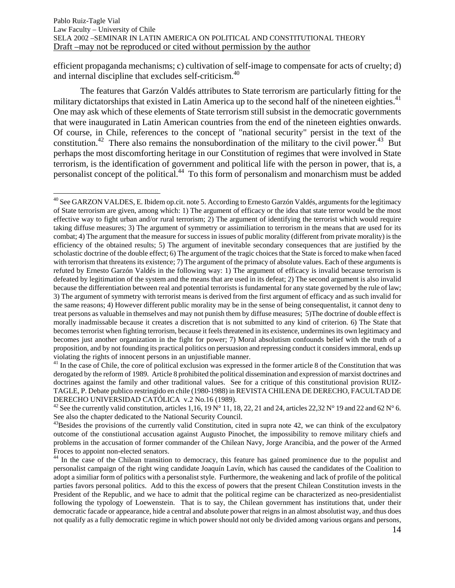efficient propaganda mechanisms; c) cultivation of self-image to compensate for acts of cruelty; d) and internal discipline that excludes self-criticism.<sup>40</sup>

The features that Garzón Valdés attributes to State terrorism are particularly fitting for the military dictatorships that existed in Latin America up to the second half of the nineteen eighties.<sup>41</sup> One may ask which of these elements of State terrorism still subsist in the democratic governments that were inaugurated in Latin American countries from the end of the nineteen eighties onwards. Of course, in Chile, references to the concept of "national security" persist in the text of the constitution.<sup>42</sup> There also remains the nonsubordination of the military to the civil power.<sup>43</sup> But perhaps the most discomforting heritage in our Constitution of regimes that were involved in State terrorism, is the identification of government and political life with the person in power, that is, a personalist concept of the political.44 To this form of personalism and monarchism must be added

1

<sup>&</sup>lt;sup>40</sup> See GARZON VALDES, E. Ibidem op.cit. note 5. According to Ernesto Garzón Valdés, arguments for the legitimacy of State terrorism are given, among which: 1) The argument of efficacy or the idea that state terror would be the most effective way to fight urban and/or rural terrorism; 2) The argument of identifying the terrorist which would require taking diffuse measures; 3) The argument of symmetry or assimiliation to terrorism in the means that are used for its combat; 4) The argument that the measure for success in issues of public morality (different from private morality) is the efficiency of the obtained results; 5) The argument of inevitable secondary consequences that are justified by the scholastic doctrine of the double effect; 6) The argument of the tragic choices that the State is forced to make when faced with terrorism that threatens its existence; 7) The argument of the primacy of absolute values. Each of these arguments is refuted by Ernesto Garzón Valdés in the following way: 1) The argument of efficacy is invalid because terrorism is defeated by legitimation of the system and the means that are used in its defeat; 2) The second argument is also invalid because the differentiation between real and potential terrorists is fundamental for any state governed by the rule of law; 3) The argument of symmetry with terrorist means is derived from the first argument of efficacy and as such invalid for the same reasons; 4) However different public morality may be in the sense of being consequentalist, it cannot deny to treat persons as valuable in themselves and may not punish them by diffuse measures; 5)The doctrine of double effect is morally inadmissable because it creates a discretion that is not submitted to any kind of criterion. 6) The State that becomes terrorist when fighting terrorism, because it feels threatened in its existence, undermines its own legitimacy and becomes just another organization in the fight for power; 7) Moral absolutism confounds belief with the truth of a proposition, and by not founding its practical politics on persuasion and repressing conduct it considers immoral, ends up violating the rights of innocent persons in an unjustifiable manner.

<sup>&</sup>lt;sup>41</sup> In the case of Chile, the core of political exclusion was expressed in the former article 8 of the Constitution that was derogated by the reform of 1989. Article 8 prohibited the political dissemination and expression of marxist doctrines and doctrines against the family and other traditional values. See for a critique of this constitutional provision RUIZ-TAGLE, P. Debate publico restringido en chile (1980-1988) in REVISTA CHILENA DE DERECHO, FACULTAD DE

<sup>&</sup>lt;sup>42</sup> See the currently valid constitution, articles 1,16, 19 N° 11, 18, 22, 21 and 24, articles 22,32 N° 19 and 22 and 62 N° 6. See also the chapter dedicated to the National Security Council.

<sup>&</sup>lt;sup>43</sup>Besides the provisions of the currently valid Constitution, cited in supra note 42, we can think of the exculpatory outcome of the constiutional accusation against Augusto Pinochet, the impossibility to remove military chiefs and problems in the accusation of former commander of the Chilean Navy, Jorge Arancibia, and the power of the Armed Froces to appoint non-elected senators.

<sup>&</sup>lt;sup>44</sup> In the case of the Chilean transition to democracy, this feature has gained prominence due to the populist and personalist campaign of the right wing candidate Joaquín Lavín, which has caused the candidates of the Coalition to adopt a similiar form of politics with a personalist style. Furthermore, the weakening and lack of profile of the political parties favors personal politics. Add to this the excess of powers that the present Chilean Constitution invests in the President of the Republic, and we hace to admit that the political regime can be characterized as neo-presidentialist following the typology of Loewenstein. That is to say, the Chilean government has institutions that, under their democratic facade or appearance, hide a central and absolute power that reigns in an almost absolutist way, and thus does not qualify as a fully democratic regime in which power should not only be divided among various organs and persons,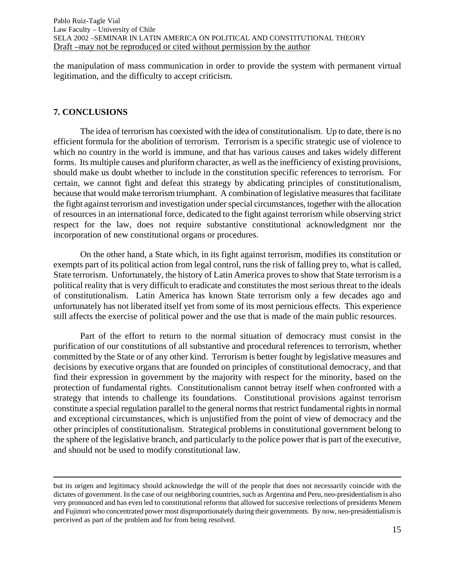the manipulation of mass communication in order to provide the system with permanent virtual legitimation, and the difficulty to accept criticism.

### **7. CONCLUSIONS**

 The idea of terrorism has coexisted with the idea of constitutionalism. Up to date, there is no efficient formula for the abolition of terrorism. Terrorism is a specific strategic use of violence to which no country in the world is immune, and that has various causes and takes widely different forms. Its multiple causes and pluriform character, as well as the inefficiency of existing provisions, should make us doubt whether to include in the constitution specific references to terrorism. For certain, we cannot fight and defeat this strategy by abdicating principles of constitutionalism, because that would make terrorism triumphant. A combination of legislative measures that facilitate the fight against terrorism and investigation under special circumstances, together with the allocation of resources in an international force, dedicated to the fight against terrorism while observing strict respect for the law, does not require substantive constitutional acknowledgment nor the incorporation of new constitutional organs or procedures.

On the other hand, a State which, in its fight against terrorism, modifies its constitution or exempts part of its political action from legal control, runs the risk of falling prey to, what is called, State terrorism. Unfortunately, the history of Latin America proves to show that State terrorism is a political reality that is very difficult to eradicate and constitutes the most serious threat to the ideals of constitutionalism. Latin America has known State terrorism only a few decades ago and unfortunately has not liberated itself yet from some of its most pernicious effects. This experience still affects the exercise of political power and the use that is made of the main public resources.

Part of the effort to return to the normal situation of democracy must consist in the purification of our constitutions of all substantive and procedural references to terrorism, whether committed by the State or of any other kind. Terrorism is better fought by legislative measures and decisions by executive organs that are founded on principles of constitutional democracy, and that find their expression in government by the majority with respect for the minority, based on the protection of fundamental rights. Constitutionalism cannot betray itself when confronted with a strategy that intends to challenge its foundations. Constitutional provisions against terrorism constitute a special regulation parallel to the general norms that restrict fundamental rights in normal and exceptional circumstances, which is unjustified from the point of view of democracy and the other principles of constitutionalism. Strategical problems in constitutional government belong to the sphere of the legislative branch, and particularly to the police power that is part of the executive, and should not be used to modify constitutional law.

but its origen and legitimacy should acknowledge the will of the people that does not necessarily coincide with the dictates of government. In the case of our neighboring countries, such as Argentina and Peru, neo-presidentialism is also very pronounced and has even led to constitutional reforms that allowed for succesive reelections of presidents Menem and Fujimori who concentrated power most disproportionately during their governments. By now, neo-presidentialism is perceived as part of the problem and for from being resolved.